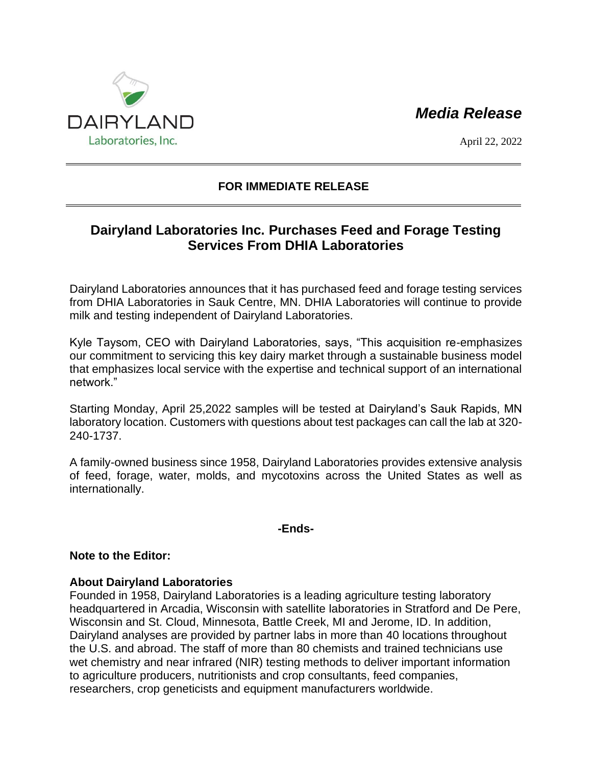# *Media Release*



April 22, 2022

## **FOR IMMEDIATE RELEASE**

## **Dairyland Laboratories Inc. Purchases Feed and Forage Testing Services From DHIA Laboratories**

Dairyland Laboratories announces that it has purchased feed and forage testing services from DHIA Laboratories in Sauk Centre, MN. DHIA Laboratories will continue to provide milk and testing independent of Dairyland Laboratories.

Kyle Taysom, CEO with Dairyland Laboratories, says, "This acquisition re-emphasizes our commitment to servicing this key dairy market through a sustainable business model that emphasizes local service with the expertise and technical support of an international network."

Starting Monday, April 25,2022 samples will be tested at Dairyland's Sauk Rapids, MN laboratory location. Customers with questions about test packages can call the lab at 320- 240-1737.

A family-owned business since 1958, Dairyland Laboratories provides extensive analysis of feed, forage, water, molds, and mycotoxins across the United States as well as internationally.

#### **-Ends-**

#### **Note to the Editor:**

### **About Dairyland Laboratories**

Founded in 1958, Dairyland Laboratories is a leading agriculture testing laboratory headquartered in Arcadia, Wisconsin with satellite laboratories in Stratford and De Pere, Wisconsin and St. Cloud, Minnesota, Battle Creek, MI and Jerome, ID. In addition, Dairyland analyses are provided by partner labs in more than 40 locations throughout the U.S. and abroad. The staff of more than 80 chemists and trained technicians use wet chemistry and near infrared (NIR) testing methods to deliver important information to agriculture producers, nutritionists and crop consultants, feed companies, researchers, crop geneticists and equipment manufacturers worldwide.